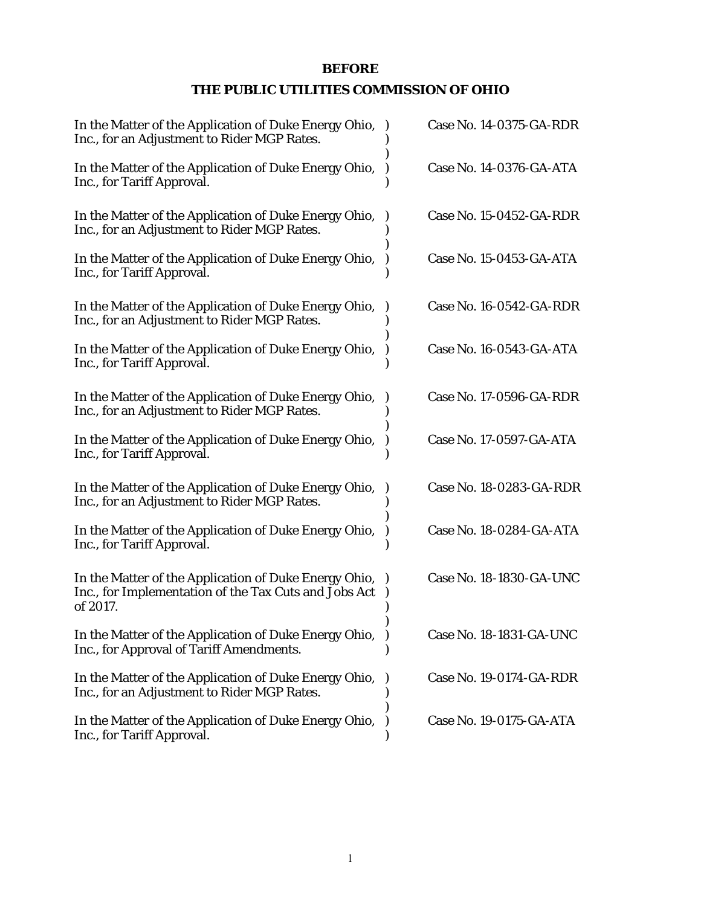# **BEFORE**

# **THE PUBLIC UTILITIES COMMISSION OF OHIO**

| In the Matter of the Application of Duke Energy Ohio,<br>Inc., for an Adjustment to Rider MGP Rates.                       | Case No. 14-0375-GA-RDR |
|----------------------------------------------------------------------------------------------------------------------------|-------------------------|
| In the Matter of the Application of Duke Energy Ohio,<br>Inc., for Tariff Approval.                                        | Case No. 14-0376-GA-ATA |
| In the Matter of the Application of Duke Energy Ohio,<br>Inc., for an Adjustment to Rider MGP Rates.                       | Case No. 15-0452-GA-RDR |
| In the Matter of the Application of Duke Energy Ohio,<br>Inc., for Tariff Approval.                                        | Case No. 15-0453-GA-ATA |
| In the Matter of the Application of Duke Energy Ohio,<br>Inc., for an Adjustment to Rider MGP Rates.                       | Case No. 16-0542-GA-RDR |
| In the Matter of the Application of Duke Energy Ohio,<br>Inc., for Tariff Approval.                                        | Case No. 16-0543-GA-ATA |
| In the Matter of the Application of Duke Energy Ohio,<br>Inc., for an Adjustment to Rider MGP Rates.                       | Case No. 17-0596-GA-RDR |
| In the Matter of the Application of Duke Energy Ohio,<br>Inc., for Tariff Approval.                                        | Case No. 17-0597-GA-ATA |
| In the Matter of the Application of Duke Energy Ohio,<br>Inc., for an Adjustment to Rider MGP Rates.                       | Case No. 18-0283-GA-RDR |
| In the Matter of the Application of Duke Energy Ohio,<br>Inc., for Tariff Approval.                                        | Case No. 18-0284-GA-ATA |
| In the Matter of the Application of Duke Energy Ohio,<br>Inc., for Implementation of the Tax Cuts and Jobs Act<br>of 2017. | Case No. 18-1830-GA-UNC |
| In the Matter of the Application of Duke Energy Ohio,<br>Inc., for Approval of Tariff Amendments.                          | Case No. 18-1831-GA-UNC |
| In the Matter of the Application of Duke Energy Ohio,<br>Inc., for an Adjustment to Rider MGP Rates.                       | Case No. 19-0174-GA-RDR |
| In the Matter of the Application of Duke Energy Ohio,<br>Inc., for Tariff Approval.                                        | Case No. 19-0175-GA-ATA |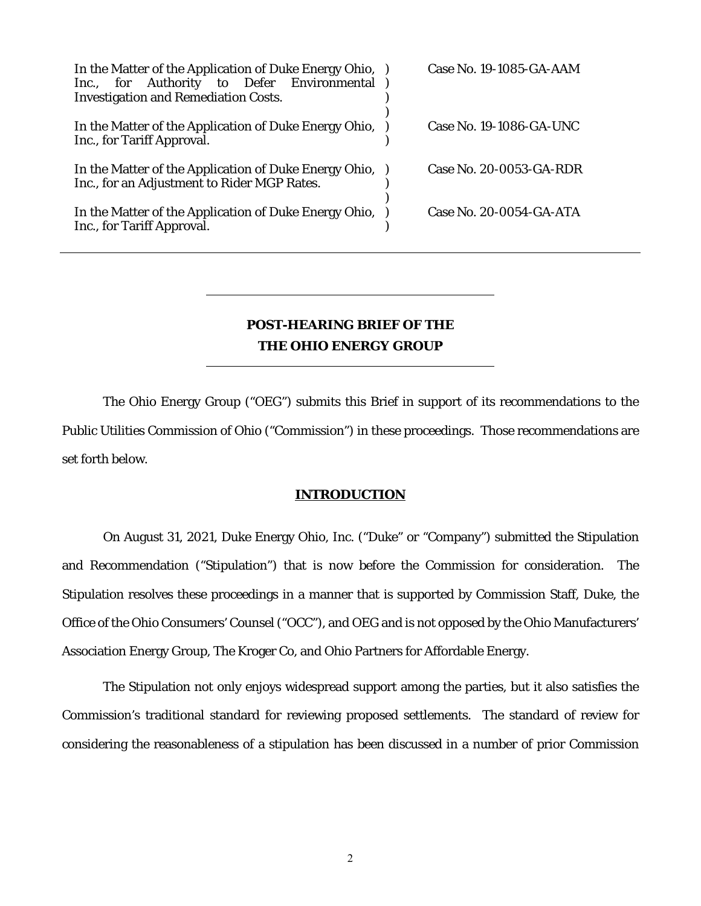| In the Matter of the Application of Duke Energy Ohio, )<br>Inc., for Authority to Defer Environmental<br><b>Investigation and Remediation Costs.</b> | <b>Case No. 19-1085-GA-AAM</b> |
|------------------------------------------------------------------------------------------------------------------------------------------------------|--------------------------------|
| In the Matter of the Application of Duke Energy Ohio,<br>Inc., for Tariff Approval.                                                                  | Case No. 19-1086-GA-UNC        |
| In the Matter of the Application of Duke Energy Ohio, )<br>Inc., for an Adjustment to Rider MGP Rates.                                               | Case No. 20-0053-GA-RDR        |
| In the Matter of the Application of Duke Energy Ohio,<br>Inc., for Tariff Approval.                                                                  | Case No. 20-0054-GA-ATA        |

# **POST-HEARING BRIEF OF THE THE OHIO ENERGY GROUP**

The Ohio Energy Group ("OEG") submits this Brief in support of its recommendations to the Public Utilities Commission of Ohio ("Commission") in these proceedings. Those recommendations are set forth below.

#### **INTRODUCTION**

On August 31, 2021, Duke Energy Ohio, Inc. ("Duke" or "Company") submitted the Stipulation and Recommendation ("Stipulation") that is now before the Commission for consideration. The Stipulation resolves these proceedings in a manner that is supported by Commission Staff, Duke, the Office of the Ohio Consumers' Counsel ("OCC"), and OEG and is not opposed by the Ohio Manufacturers' Association Energy Group, The Kroger Co, and Ohio Partners for Affordable Energy.

The Stipulation not only enjoys widespread support among the parties, but it also satisfies the Commission's traditional standard for reviewing proposed settlements. The standard of review for considering the reasonableness of a stipulation has been discussed in a number of prior Commission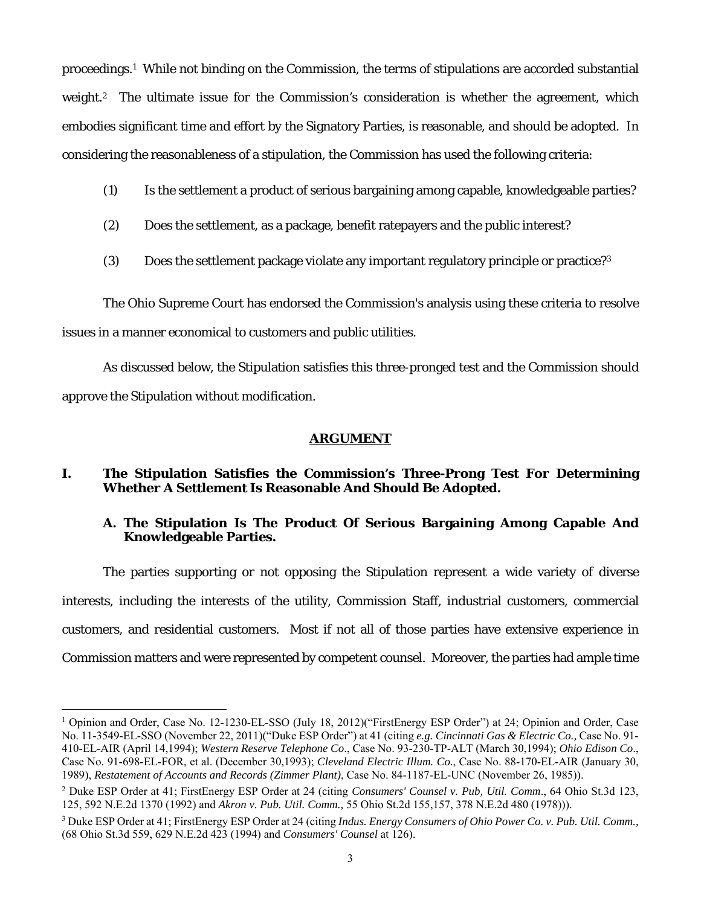proceedings.1 While not binding on the Commission, the terms of stipulations are accorded substantial weight.<sup>2</sup> The ultimate issue for the Commission's consideration is whether the agreement, which embodies significant time and effort by the Signatory Parties, is reasonable, and should be adopted. In considering the reasonableness of a stipulation, the Commission has used the following criteria:

- (1) Is the settlement a product of serious bargaining among capable, knowledgeable parties?
- (2) Does the settlement, as a package, benefit ratepayers and the public interest?
- (3) Does the settlement package violate any important regulatory principle or practice?3

The Ohio Supreme Court has endorsed the Commission's analysis using these criteria to resolve issues in a manner economical to customers and public utilities.

As discussed below, the Stipulation satisfies this three-pronged test and the Commission should approve the Stipulation without modification.

#### **ARGUMENT**

## **I. The Stipulation Satisfies the Commission's Three-Prong Test For Determining Whether A Settlement Is Reasonable And Should Be Adopted.**

## **A. The Stipulation Is The Product Of Serious Bargaining Among Capable And Knowledgeable Parties.**

The parties supporting or not opposing the Stipulation represent a wide variety of diverse interests, including the interests of the utility, Commission Staff, industrial customers, commercial customers, and residential customers. Most if not all of those parties have extensive experience in Commission matters and were represented by competent counsel. Moreover, the parties had ample time

<sup>&</sup>lt;sup>1</sup> Opinion and Order, Case No. 12-1230-EL-SSO (July 18, 2012)("FirstEnergy ESP Order") at 24; Opinion and Order, Case No. 11-3549-EL-SSO (November 22, 2011)("Duke ESP Order") at 41 (citing *e.g. Cincinnati Gas & Electric Co.,* Case No. 91- 410-EL-AIR (April 14,1994); *Western Reserve Telephone Co*., Case No. 93-230-TP-ALT (March 30,1994); *Ohio Edison Co*., Case No. 91-698-EL-FOR, et al. (December 30,1993); *Cleveland Electric Illum. Co.*, Case No. 88-170-EL-AIR (January 30, 1989), *Restatement of Accounts and Records (Zimmer Plant)*, Case No. 84-1187-EL-UNC (November 26, 1985)).

<sup>2</sup> Duke ESP Order at 41; FirstEnergy ESP Order at 24 (citing *Consumers' Counsel v. Pub, Util. Comm*., 64 Ohio St.3d 123, 125, 592 N.E.2d 1370 (1992) and *Akron v. Pub. Util. Comm.,* 55 Ohio St.2d 155,157, 378 N.E.2d 480 (1978))).

<sup>3</sup> Duke ESP Order at 41; FirstEnergy ESP Order at 24 (citing *Indus. Energy Consumers of Ohio Power Co. v. Pub. Util. Comm.,* (68 Ohio St.3d 559, 629 N.E.2d 423 (1994) and *Consumers' Counsel* at 126).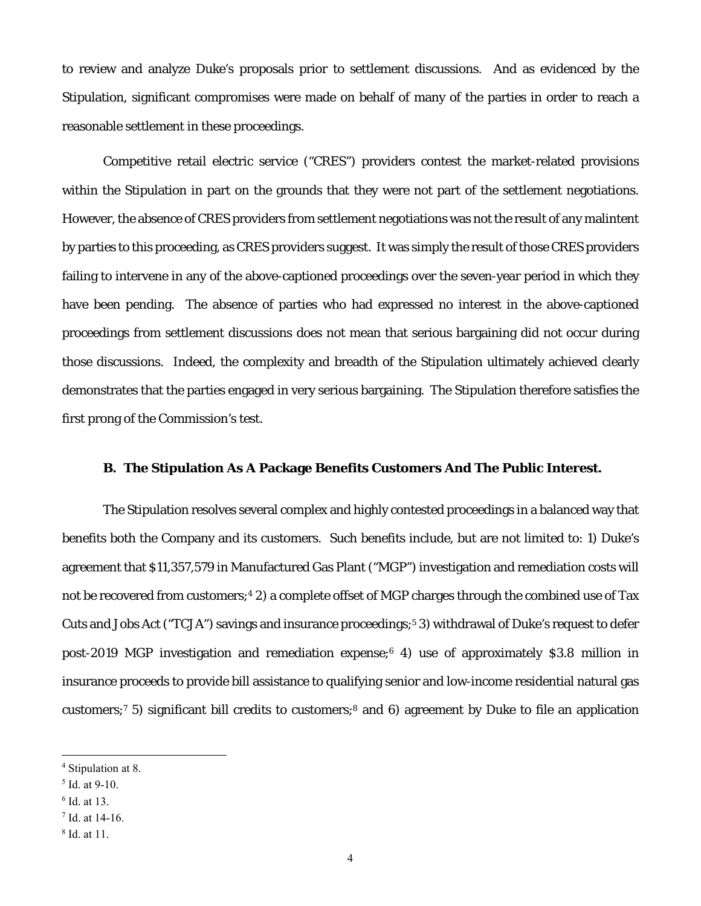to review and analyze Duke's proposals prior to settlement discussions. And as evidenced by the Stipulation, significant compromises were made on behalf of many of the parties in order to reach a reasonable settlement in these proceedings.

Competitive retail electric service ("CRES") providers contest the market-related provisions within the Stipulation in part on the grounds that they were not part of the settlement negotiations. However, the absence of CRES providers from settlement negotiations was not the result of any malintent by parties to this proceeding, as CRES providers suggest. It was simply the result of those CRES providers failing to intervene in any of the above-captioned proceedings over the seven-year period in which they have been pending. The absence of parties who had expressed no interest in the above-captioned proceedings from settlement discussions does not mean that serious bargaining did not occur during those discussions. Indeed, the complexity and breadth of the Stipulation ultimately achieved clearly demonstrates that the parties engaged in very serious bargaining. The Stipulation therefore satisfies the first prong of the Commission's test.

#### **B. The Stipulation As A Package Benefits Customers And The Public Interest.**

The Stipulation resolves several complex and highly contested proceedings in a balanced way that benefits both the Company and its customers. Such benefits include, but are not limited to: 1) Duke's agreement that \$11,357,579 in Manufactured Gas Plant ("MGP") investigation and remediation costs will not be recovered from customers;<sup>4</sup> 2) a complete offset of MGP charges through the combined use of Tax Cuts and Jobs Act ("TCJA") savings and insurance proceedings;5 3) withdrawal of Duke's request to defer post-2019 MGP investigation and remediation expense;6 4) use of approximately \$3.8 million in insurance proceeds to provide bill assistance to qualifying senior and low-income residential natural gas customers;7 5) significant bill credits to customers;8 and 6) agreement by Duke to file an application

<sup>4</sup> Stipulation at 8.

<sup>5</sup> Id. at 9-10.

<sup>6</sup> Id. at 13.

<sup>7</sup> Id. at 14-16.

<sup>8</sup> Id. at 11.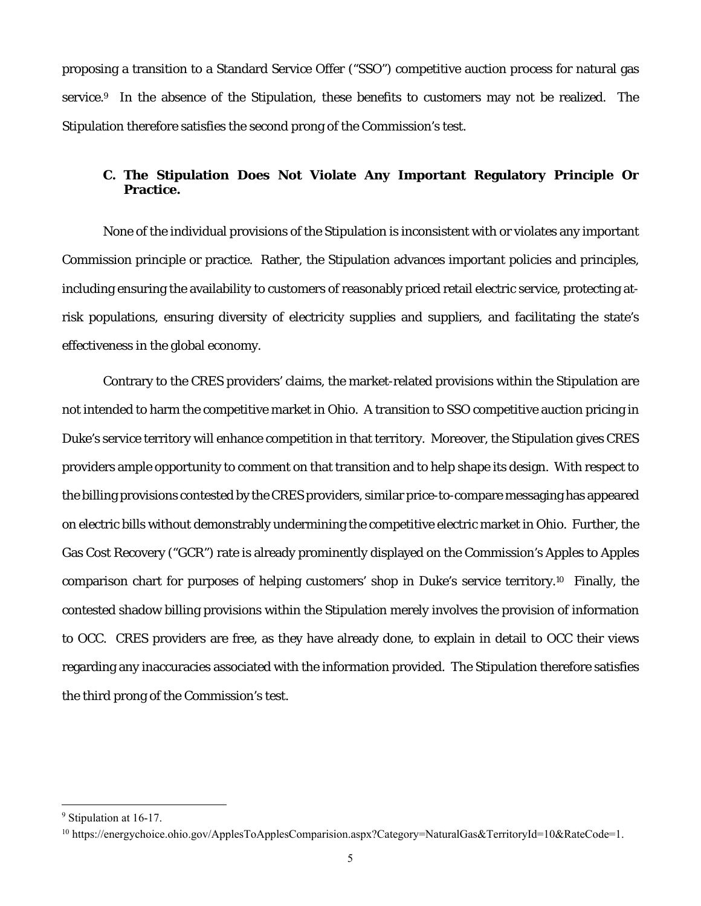proposing a transition to a Standard Service Offer ("SSO") competitive auction process for natural gas service.<sup>9</sup> In the absence of the Stipulation, these benefits to customers may not be realized. The Stipulation therefore satisfies the second prong of the Commission's test.

## **C. The Stipulation Does Not Violate Any Important Regulatory Principle Or Practice.**

None of the individual provisions of the Stipulation is inconsistent with or violates any important Commission principle or practice. Rather, the Stipulation advances important policies and principles, including ensuring the availability to customers of reasonably priced retail electric service, protecting atrisk populations, ensuring diversity of electricity supplies and suppliers, and facilitating the state's effectiveness in the global economy.

Contrary to the CRES providers' claims, the market-related provisions within the Stipulation are not intended to harm the competitive market in Ohio. A transition to SSO competitive auction pricing in Duke's service territory will enhance competition in that territory. Moreover, the Stipulation gives CRES providers ample opportunity to comment on that transition and to help shape its design. With respect to the billing provisions contested by the CRES providers, similar price-to-compare messaging has appeared on electric bills without demonstrably undermining the competitive electric market in Ohio. Further, the Gas Cost Recovery ("GCR") rate is already prominently displayed on the Commission's Apples to Apples comparison chart for purposes of helping customers' shop in Duke's service territory.10 Finally, the contested shadow billing provisions within the Stipulation merely involves the provision of information to OCC. CRES providers are free, as they have already done, to explain in detail to OCC their views regarding any inaccuracies associated with the information provided. The Stipulation therefore satisfies the third prong of the Commission's test.

<sup>&</sup>lt;sup>9</sup> Stipulation at 16-17.

<sup>10</sup> https://energychoice.ohio.gov/ApplesToApplesComparision.aspx?Category=NaturalGas&TerritoryId=10&RateCode=1.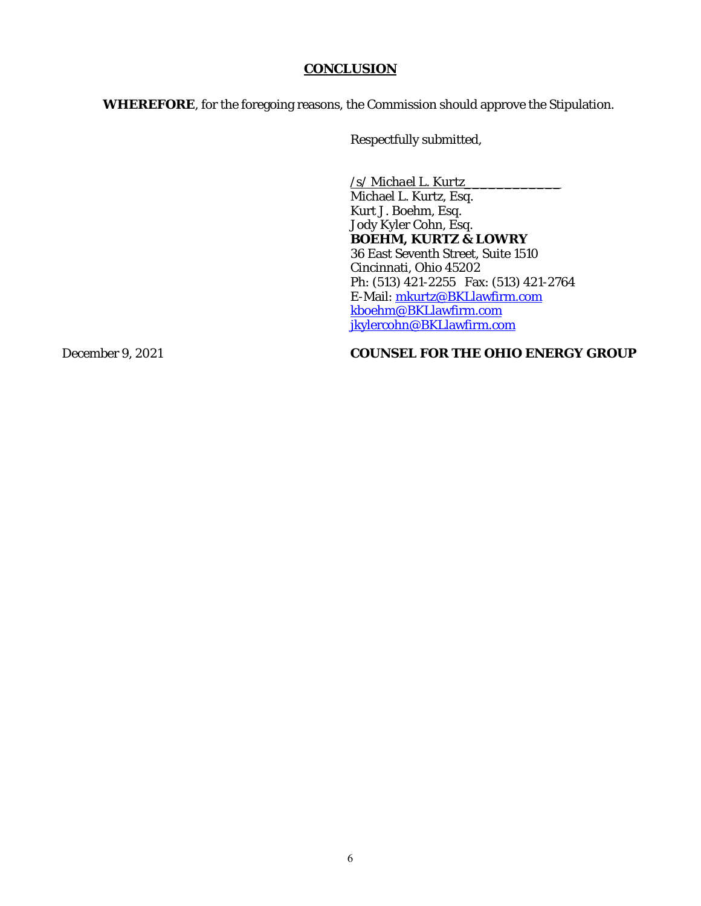## **CONCLUSION**

**WHEREFORE**, for the foregoing reasons, the Commission should approve the Stipulation.

Respectfully submitted,

*/s/ Michael L. Kurtz\_\_\_\_\_\_\_\_\_\_\_\_*  Michael L. Kurtz, Esq. Kurt J. Boehm, Esq. Jody Kyler Cohn, Esq. **BOEHM, KURTZ & LOWRY**  36 East Seventh Street, Suite 1510 Cincinnati, Ohio 45202 Ph: (513) 421-2255 Fax: (513) 421-2764 E-Mail: mkurtz@BKLlawfirm.com kboehm@BKLlawfirm.com jkylercohn@BKLlawfirm.com

**December 9, 2021 COUNSEL FOR THE OHIO ENERGY GROUP**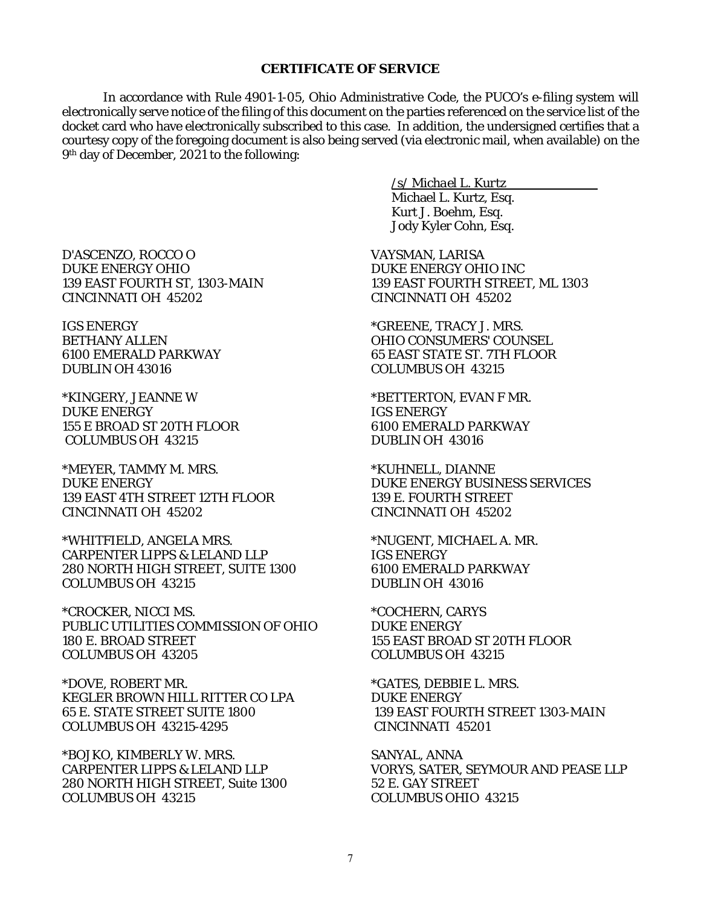#### **CERTIFICATE OF SERVICE**

In accordance with Rule 4901-1-05, Ohio Administrative Code, the PUCO's e-filing system will electronically serve notice of the filing of this document on the parties referenced on the service list of the docket card who have electronically subscribed to this case. In addition, the undersigned certifies that a courtesy copy of the foregoing document is also being served (via electronic mail, when available) on the 9th day of December, 2021 to the following:

D'ASCENZO, ROCCO O DUKE ENERGY OHIO 139 EAST FOURTH ST, 1303-MAIN

CINCINNATI OH 45202 IGS ENERGY BETHANY ALLEN

6100 EMERALD PARKWAY DUBLIN OH 43016

\*KINGERY, JEANNE W DUKE ENERGY 155 E BROAD ST 20TH FLOOR COLUMBUS OH 43215

\*MEYER, TAMMY M. MRS. DUKE ENERGY 139 EAST 4TH STREET 12TH FLOOR CINCINNATI OH 45202

\*WHITFIELD, ANGELA MRS. CARPENTER LIPPS & LELAND LLP 280 NORTH HIGH STREET, SUITE 1300 COLUMBUS OH 43215

\*CROCKER, NICCI MS. PUBLIC UTILITIES COMMISSION OF OHIO 180 E. BROAD STREET COLUMBUS OH 43205

\*DOVE, ROBERT MR. KEGLER BROWN HILL RITTER CO LPA 65 E. STATE STREET SUITE 1800 COLUMBUS OH 43215-4295

\*BOJKO, KIMBERLY W. MRS. CARPENTER LIPPS & LELAND LLP 280 NORTH HIGH STREET, Suite 1300 COLUMBUS OH 43215

*/s/ Michael L. Kurtz* 

Michael L. Kurtz, Esq. Kurt J. Boehm, Esq. Jody Kyler Cohn, Esq.

VAYSMAN, LARISA DUKE ENERGY OHIO INC 139 EAST FOURTH STREET, ML 1303 CINCINNATI OH 45202

\*GREENE, TRACY J. MRS. OHIO CONSUMERS' COUNSEL 65 EAST STATE ST. 7TH FLOOR COLUMBUS OH 43215

\*BETTERTON, EVAN F MR. IGS ENERGY 6100 EMERALD PARKWAY DUBLIN OH 43016

\*KUHNELL, DIANNE DUKE ENERGY BUSINESS SERVICES 139 E. FOURTH STREET CINCINNATI OH 45202

\*NUGENT, MICHAEL A. MR. IGS ENERGY 6100 EMERALD PARKWAY DUBLIN OH 43016

\*COCHERN, CARYS DUKE ENERGY 155 EAST BROAD ST 20TH FLOOR COLUMBUS OH 43215

\*GATES, DEBBIE L. MRS. DUKE ENERGY 139 EAST FOURTH STREET 1303-MAIN CINCINNATI 45201

SANYAL, ANNA VORYS, SATER, SEYMOUR AND PEASE LLP 52 E. GAY STREET COLUMBUS OHIO 43215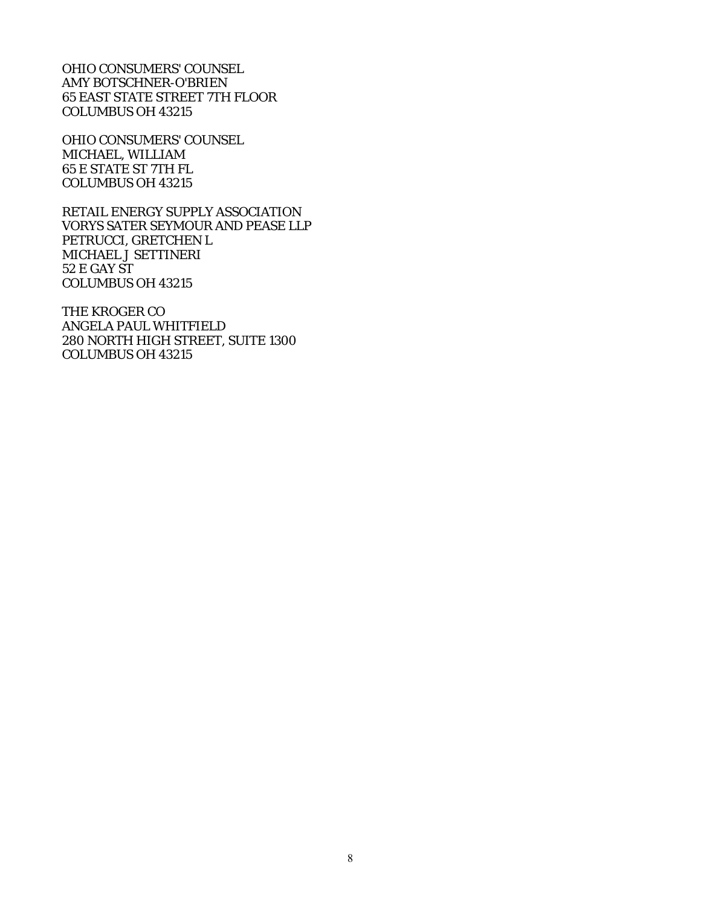OHIO CONSUMERS' COUNSEL AMY BOTSCHNER-O'BRIEN 65 EAST STATE STREET 7TH FLOOR COLUMBUS OH 43215

OHIO CONSUMERS' COUNSEL MICHAEL, WILLIAM 65 E STATE ST 7TH FL COLUMBUS OH 43215

RETAIL ENERGY SUPPLY ASSOCIATION VORYS SATER SEYMOUR AND PEASE LLP PETRUCCI, GRETCHEN L MICHAEL J SETTINERI 52 E GAY ST COLUMBUS OH 43215

THE KROGER CO ANGELA PAUL WHITFIELD 280 NORTH HIGH STREET, SUITE 1300 COLUMBUS OH 43215